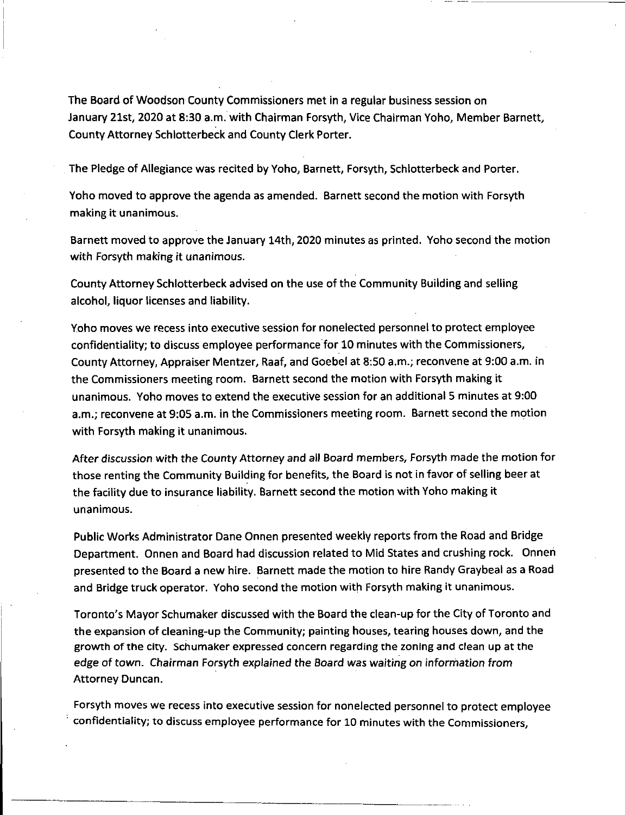The Board of Woodson County Commissioners met in a regular business session on January 21st, 2020 at 8:30 a.m. with Chairman Forsyth, Vice Chairman Yoho, Member Barnett, County Attorney Schlotterbeck and County Clerk Porter.

The Pledge of Allegiance was recited by Yoho, Barnett, Forsyth, Schlotterbeck and Porter.

Yoho moved to approve the agenda as amended. Barnett second the motion with Forsyth making it unanimous.

Barnett moved to approve the January 14th, 2020 minutes as printed. Yoho second the motion with Forsyth making it unanimous.

County Attorney Schlotterbeck advised on the use of the Community Building and selling alcohol, liquor licenses and liability.

Yoho moves we recess into executive session for nonelected personnel to protect employee confidentiality; to discuss employee performance for 10 minutes with the Commissioners, County Attorney, Appraiser Mentzer, Raaf, and Goebel at 8:50 a.m.; reconvene at 9:00 a.m. in the Commissioners meeting room. Barnett second the motion with Forsyth making it unanimous. Yoho moves to extend the executive session for an additional 5 minutes at 9:00 a.m.; reconvene at 9:05 a.m. in the Commissioners meeting room. Barnett second the motion with Forsyth making it unanimous.

After discussion with the County Attorney and all Board members, Forsyth made the motion for those renting the Community Building for benefits, the Board is not in favor of selling beer at the facility due to insurance liability. Barnett second the motion with Yoho making it unanimous.

Public Works Administrator Dane Onnen presented weekly reports from the Road and Bridge Department. Onnen and Board had discussion related to Mid States and crushing rock. Onnen presented to the Board a new hire. Barnett made the motion to hire Randy Graybeal as a Road and Bridge truck operator. Yoho second the motion with Forsyth making it unanimous.

Toronto's Mayor Schumaker discussed with the Board the clean-up for the City of Toronto and the expansion of cleaning-up the Community; painting houses, tearing houses down, and the growth of the city. Schumaker expressed concern regarding the zoning and clean up at the edge of town. Chairman Forsyth explained the Board was waiting on information from Attorney Duncan.

Forsyth moves we recess into executive session for nonelected personnel to protect employee confidentiality; to discuss employee performance for 10 minutes with the Commissioners,